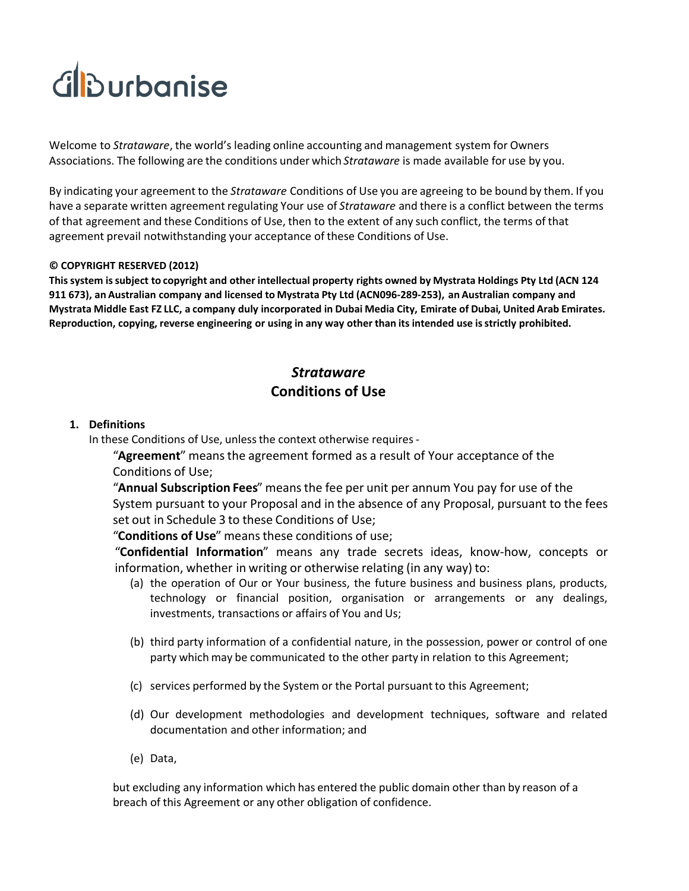# Glburbanise

Welcome to *Strataware*, the world's leading online accounting and management system for Owners Associations. The following are the conditions under which *Strataware* is made available for use by you.

By indicating your agreement to the *Strataware* Conditions of Use you are agreeing to be bound by them. If you have a separate written agreement regulating Your use of *Strataware* and there is a conflict between the terms of that agreement and these Conditions of Use, then to the extent of any such conflict, the terms of that agreement prevail notwithstanding your acceptance of these Conditions of Use.

#### **© COPYRIGHT RESERVED (2012)**

**This system is subject to copyright and other intellectual property rights owned by Mystrata Holdings Pty Ltd (ACN 124 911 673), an Australian company and licensed to Mystrata Pty Ltd (ACN096-289-253), an Australian company and Mystrata Middle East FZ LLC, a company duly incorporated in Dubai Media City, Emirate of Dubai, United Arab Emirates. Reproduction, copying, reverse engineering or using in any way other than its intended use is strictly prohibited.**

## *Strataware* **Conditions of Use**

#### **1. Definitions**

In these Conditions of Use, unless the context otherwise requires -

**"Agreement**" means the agreement formed as a result of Your acceptance of the Conditions of Use;

5**Annual Subscription Fees**6 means the fee per unit per annum You pay for use of the System pursuant to your Proposal and in the absence of any Proposal, pursuant to the fees set out in Schedule 3 to these Conditions of Use;

"Conditions of Use" means these conditions of use;

5**Confidential Information**6 means any trade secrets ideas, know-how, concepts or information, whether in writing or otherwise relating (in any way) to:

- (a) the operation of Our or Your business, the future business and business plans, products, technology or financial position, organisation or arrangements or any dealings, investments, transactions or affairs of You and Us;
- (b) third party information of a confidential nature, in the possession, power or control of one party which may be communicated to the other party in relation to this Agreement;
- (c) services performed by the System or the Portal pursuant to this Agreement;
- (d) Our development methodologies and development techniques, software and related documentation and other information; and
- (e) Data,

but excluding any information which has entered the public domain other than by reason of a breach of this Agreement or any other obligation of confidence.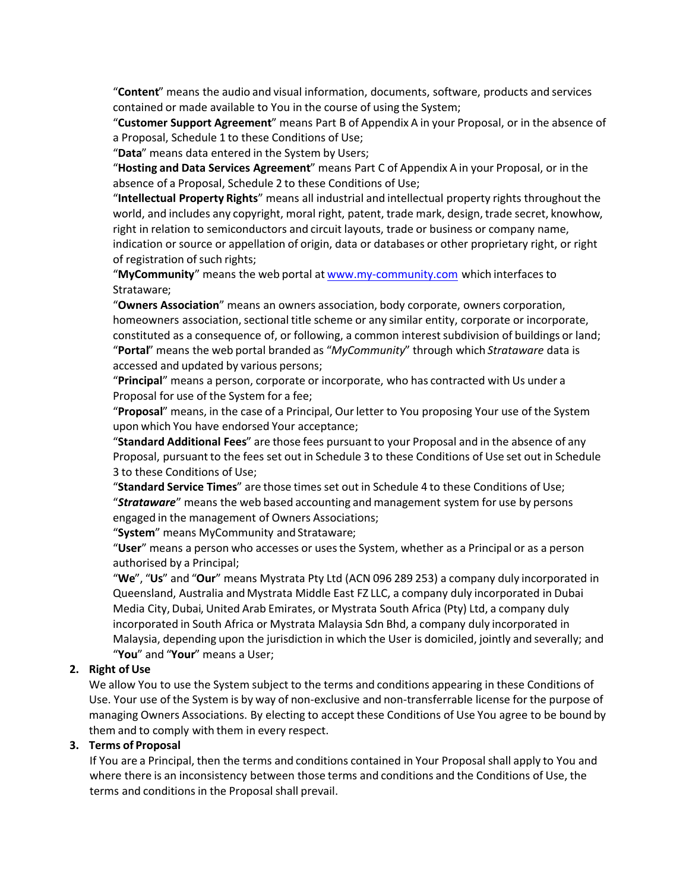5**Content**6 means the audio and visual information, documents, software, products and services contained or made available to You in the course of using the System;

5**Customer Support Agreement**6 means Part B of Appendix A in your Proposal, or in the absence of a Proposal, Schedule 1 to these Conditions of Use;

"Data" means data entered in the System by Users;

5**Hosting and Data Services Agreement**6 means Part C of Appendix A in your Proposal, or in the absence of a Proposal, Schedule 2 to these Conditions of Use;

5**Intellectual Property Rights**6 means all industrial and intellectual property rights throughout the world, and includes any copyright, moral right, patent, trade mark, design, trade secret, knowhow, right in relation to semiconductors and circuit layouts, trade or business or company name, indication or source or appellation of origin, data or databases or other proprietary right, or right of registration of such rights;

5**MyCommunity**6 means the web portal at www.my-community.com which interfaces to Strataware;

5**Owners Association**6 means an owners association, body corporate, owners corporation, homeowners association, sectional title scheme or any similar entity, corporate or incorporate, constituted as a consequence of, or following, a common interest subdivision of buildings or land; 5**Portal**6 means the web portal branded as 5*MyCommunity*6 through which *Strataware* data is accessed and updated by various persons;

5**Principal**6 means a person, corporate or incorporate, who has contracted with Us under a Proposal for use of the System for a fee;

5**Proposal**6 means, in the case of a Principal, Our letter to You proposing Your use of the System upon which You have endorsed Your acceptance;

**"Standard Additional Fees**" are those fees pursuant to your Proposal and in the absence of any Proposal, pursuant to the fees set out in Schedule 3 to these Conditions of Use set out in Schedule 3 to these Conditions of Use;

"Standard Service Times" are those times set out in Schedule 4 to these Conditions of Use; **"Strataware**" means the web based accounting and management system for use by persons engaged in the management of Owners Associations;

"System" means MyCommunity and Strataware;

"User" means a person who accesses or uses the System, whether as a Principal or as a person authorised by a Principal;

"We", "Us" and "Our" means Mystrata Pty Ltd (ACN 096 289 253) a company duly incorporated in Queensland, Australia and Mystrata Middle East FZ LLC, a company duly incorporated in Dubai Media City, Dubai, United Arab Emirates, or Mystrata South Africa (Pty) Ltd, a company duly incorporated in South Africa or Mystrata Malaysia Sdn Bhd, a company duly incorporated in Malaysia, depending upon the jurisdiction in which the User is domiciled, jointly and severally; and "You" and "Your" means a User;

#### **2. Right of Use**

We allow You to use the System subject to the terms and conditions appearing in these Conditions of Use. Your use of the System is by way of non-exclusive and non-transferrable license for the purpose of managing Owners Associations. By electing to accept these Conditions of Use You agree to be bound by them and to comply with them in every respect.

#### **3. Terms of Proposal**

If You are a Principal, then the terms and conditions contained in Your Proposal shall apply to You and where there is an inconsistency between those terms and conditions and the Conditions of Use, the terms and conditions in the Proposal shall prevail.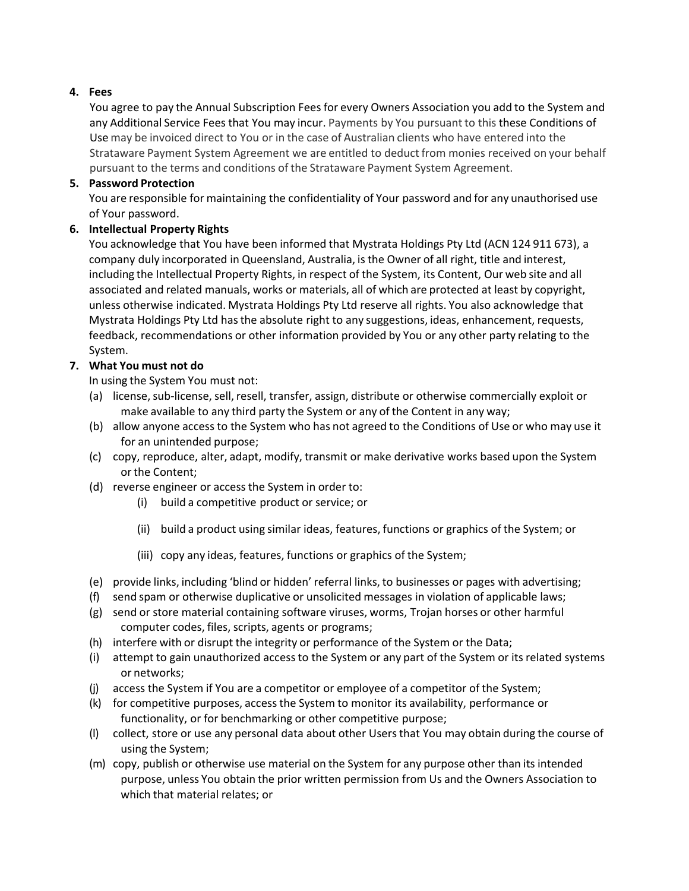## **4. Fees**

You agree to pay the Annual Subscription Fees for every Owners Association you add to the System and any Additional Service Fees that You may incur. Payments by You pursuant to this these Conditions of Use may be invoiced direct to You or in the case of Australian clients who have entered into the Strataware Payment System Agreement we are entitled to deduct from monies received on your behalf pursuant to the terms and conditions of the Strataware Payment System Agreement.

#### **5. Password Protection**

You are responsible for maintaining the confidentiality of Your password and for any unauthorised use of Your password.

## **6. Intellectual Property Rights**

You acknowledge that You have been informed that Mystrata Holdings Pty Ltd (ACN 124 911 673), a company duly incorporated in Queensland, Australia, is the Owner of all right, title and interest, including the Intellectual Property Rights, in respect of the System, its Content, Our web site and all associated and related manuals, works or materials, all of which are protected at least by copyright, unless otherwise indicated. Mystrata Holdings Pty Ltd reserve all rights. You also acknowledge that Mystrata Holdings Pty Ltd has the absolute right to any suggestions, ideas, enhancement, requests, feedback, recommendations or other information provided by You or any other party relating to the System.

## **7. What You must not do**

In using the System You must not:

- (a) license, sub-license, sell, resell, transfer, assign, distribute or otherwise commercially exploit or make available to any third party the System or any of the Content in any way;
- (b) allow anyone access to the System who has not agreed to the Conditions of Use or who may use it for an unintended purpose;
- (c) copy, reproduce, alter, adapt, modify, transmit or make derivative works based upon the System or the Content;
- (d) reverse engineer or access the System in order to:
	- (i) build a competitive product or service; or
	- (ii) build a product using similar ideas, features, functions or graphics of the System; or
	- (iii) copy any ideas, features, functions or graphics of the System;
- (e) provide links, including 'blind or hidden' referral links, to businesses or pages with advertising;
- (f) send spam or otherwise duplicative or unsolicited messages in violation of applicable laws;
- (g) send or store material containing software viruses, worms, Trojan horses or other harmful computer codes, files, scripts, agents or programs;
- (h) interfere with or disrupt the integrity or performance of the System or the Data;
- (i) attempt to gain unauthorized access to the System or any part of the System or its related systems or networks;
- (j) access the System if You are a competitor or employee of a competitor of the System;
- (k) for competitive purposes, access the System to monitor its availability, performance or functionality, or for benchmarking or other competitive purpose;
- (l) collect, store or use any personal data about other Users that You may obtain during the course of using the System;
- (m) copy, publish or otherwise use material on the System for any purpose other than its intended purpose, unless You obtain the prior written permission from Us and the Owners Association to which that material relates; or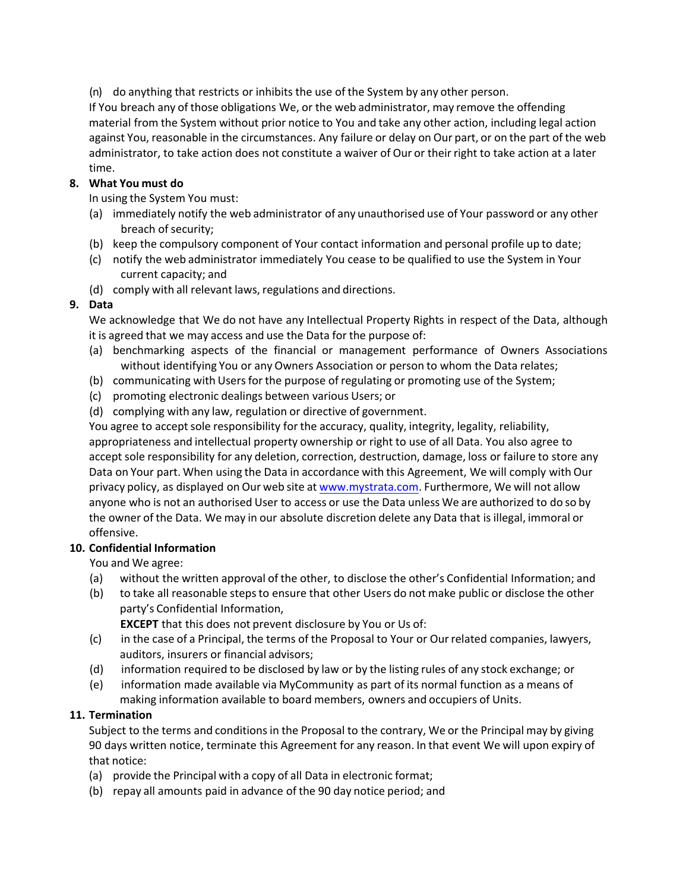(n) do anything that restricts or inhibits the use of the System by any other person.

If You breach any of those obligations We, or the web administrator, may remove the offending material from the System without prior notice to You and take any other action, including legal action against You, reasonable in the circumstances. Any failure or delay on Our part, or on the part of the web administrator, to take action does not constitute a waiver of Our or their right to take action at a later time.

#### **8. What You must do**

In using the System You must:

- (a) immediately notify the web administrator of any unauthorised use of Your password or any other breach of security;
- (b) keep the compulsory component of Your contact information and personal profile up to date;
- (c) notify the web administrator immediately You cease to be qualified to use the System in Your current capacity; and
- (d) comply with all relevant laws, regulations and directions.

## **9. Data**

We acknowledge that We do not have any Intellectual Property Rights in respect of the Data, although it is agreed that we may access and use the Data for the purpose of:

- (a) benchmarking aspects of the financial or management performance of Owners Associations without identifying You or any Owners Association or person to whom the Data relates;
- (b) communicating with Users for the purpose of regulating or promoting use of the System;
- (c) promoting electronic dealings between various Users; or
- (d) complying with any law, regulation or directive of government.

You agree to accept sole responsibility for the accuracy, quality, integrity, legality, reliability, appropriateness and intellectual property ownership or right to use of all Data. You also agree to accept sole responsibility for any deletion, correction, destruction, damage, loss or failure to store any Data on Your part. When using the Data in accordance with this Agreement, We will comply with Our privacy policy, as displayed on Our web site at www.mystrata.com. Furthermore, We will not allow anyone who is not an authorised User to access or use the Data unless We are authorized to do so by the owner of the Data. We may in our absolute discretion delete any Data that is illegal, immoral or offensive.

#### **10. Confidential Information**

You and We agree:

- (a) without the written approval of the other, to disclose the other's Confidential Information; and
- (b) to take all reasonable steps to ensure that other Users do not make public or disclose the other party's Confidential Information,

**EXCEPT** that this does not prevent disclosure by You or Us of:

- (c) in the case of a Principal, the terms of the Proposal to Your or Our related companies, lawyers, auditors, insurers or financial advisors;
- (d) information required to be disclosed by law or by the listing rules of any stock exchange; or
- (e) information made available via MyCommunity as part of its normal function as a means of making information available to board members, owners and occupiers of Units.

#### **11. Termination**

Subject to the terms and conditions in the Proposal to the contrary, We or the Principal may by giving 90 days written notice, terminate this Agreement for any reason. In that event We will upon expiry of that notice:

- (a) provide the Principal with a copy of all Data in electronic format;
- (b) repay all amounts paid in advance of the 90 day notice period; and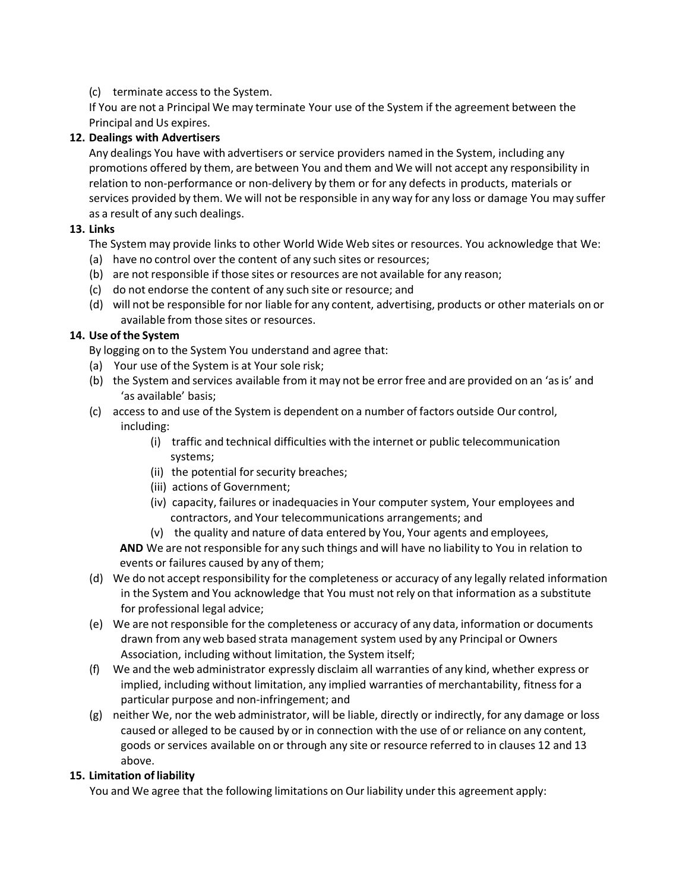#### (c) terminate access to the System.

If You are not a Principal We may terminate Your use of the System if the agreement between the Principal and Us expires.

#### **12. Dealings with Advertisers**

Any dealings You have with advertisers or service providers named in the System, including any promotions offered by them, are between You and them and We will not accept any responsibility in relation to non-performance or non-delivery by them or for any defects in products, materials or services provided by them. We will not be responsible in any way for any loss or damage You may suffer as a result of any such dealings.

#### **13. Links**

The System may provide links to other World Wide Web sites or resources. You acknowledge that We:

- (a) have no control over the content of any such sites or resources;
- (b) are not responsible if those sites or resources are not available for any reason;
- (c) do not endorse the content of any such site or resource; and
- (d) will not be responsible for nor liable for any content, advertising, products or other materials on or available from those sites or resources.

## **14. Use of the System**

By logging on to the System You understand and agree that:

- (a) Your use of the System is at Your sole risk;
- (b) the System and services available from it may not be error free and are provided on an 'as is' and 'as available' basis;
- (c) access to and use of the System is dependent on a number of factors outside Our control, including:
	- (i) traffic and technical difficulties with the internet or public telecommunication systems;
	- (ii) the potential for security breaches;
	- (iii) actions of Government;
	- (iv) capacity, failures or inadequacies in Your computer system, Your employees and contractors, and Your telecommunications arrangements; and
	- (v) the quality and nature of data entered by You, Your agents and employees,

**AND** We are not responsible for any such things and will have no liability to You in relation to events or failures caused by any of them;

- (d) We do not accept responsibility for the completeness or accuracy of any legally related information in the System and You acknowledge that You must not rely on that information as a substitute for professional legal advice;
- (e) We are not responsible for the completeness or accuracy of any data, information or documents drawn from any web based strata management system used by any Principal or Owners Association, including without limitation, the System itself;
- (f) We and the web administrator expressly disclaim all warranties of any kind, whether express or implied, including without limitation, any implied warranties of merchantability, fitness for a particular purpose and non-infringement; and
- (g) neither We, nor the web administrator, will be liable, directly or indirectly, for any damage or loss caused or alleged to be caused by or in connection with the use of or reliance on any content, goods or services available on or through any site or resource referred to in clauses 12 and 13 above.

#### **15. Limitation of liability**

You and We agree that the following limitations on Our liability under this agreement apply: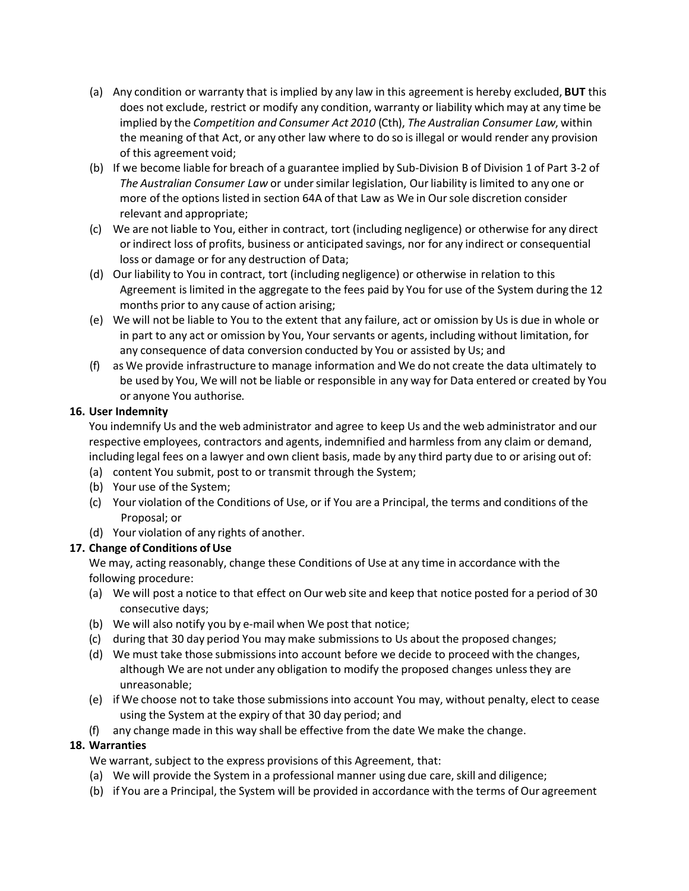- (a) Any condition or warranty that is implied by any law in this agreement is hereby excluded, **BUT** this does not exclude, restrict or modify any condition, warranty or liability which may at any time be implied by the *Competition and Consumer Act 2010* (Cth), *The Australian Consumer Law*, within the meaning of that Act, or any other law where to do so is illegal or would render any provision of this agreement void;
- (b) If we become liable for breach of a guarantee implied by Sub-Division B of Division 1 of Part 3-2 of *The Australian Consumer Law* or under similar legislation, Our liability is limited to any one or more of the options listed in section 64A of that Law as We in Our sole discretion consider relevant and appropriate;
- (c) We are not liable to You, either in contract, tort (including negligence) or otherwise for any direct or indirect loss of profits, business or anticipated savings, nor for any indirect or consequential loss or damage or for any destruction of Data;
- (d) Our liability to You in contract, tort (including negligence) or otherwise in relation to this Agreement is limited in the aggregate to the fees paid by You for use of the System during the 12 months prior to any cause of action arising;
- (e) We will not be liable to You to the extent that any failure, act or omission by Us is due in whole or in part to any act or omission by You, Your servants or agents, including without limitation, for any consequence of data conversion conducted by You or assisted by Us; and
- (f) as We provide infrastructure to manage information and We do not create the data ultimately to be used by You, We will not be liable or responsible in any way for Data entered or created by You or anyone You authorise.

#### **16. User Indemnity**

You indemnify Us and the web administrator and agree to keep Us and the web administrator and our respective employees, contractors and agents, indemnified and harmless from any claim or demand, including legal fees on a lawyer and own client basis, made by any third party due to or arising out of:

- (a) content You submit, post to or transmit through the System;
- (b) Your use of the System;
- (c) Your violation of the Conditions of Use, or if You are a Principal, the terms and conditions of the Proposal; or
- (d) Your violation of any rights of another.

#### **17. Change of Conditions of Use**

We may, acting reasonably, change these Conditions of Use at any time in accordance with the following procedure:

- (a) We will post a notice to that effect on Our web site and keep that notice posted for a period of 30 consecutive days;
- (b) We will also notify you by e-mail when We post that notice;
- (c) during that 30 day period You may make submissions to Us about the proposed changes;
- (d) We must take those submissions into account before we decide to proceed with the changes, although We are not under any obligation to modify the proposed changes unless they are unreasonable;
- (e) if We choose not to take those submissions into account You may, without penalty, elect to cease using the System at the expiry of that 30 day period; and
- (f) any change made in this way shall be effective from the date We make the change.

#### **18. Warranties**

We warrant, subject to the express provisions of this Agreement, that:

- (a) We will provide the System in a professional manner using due care, skill and diligence;
- (b) if You are a Principal, the System will be provided in accordance with the terms of Our agreement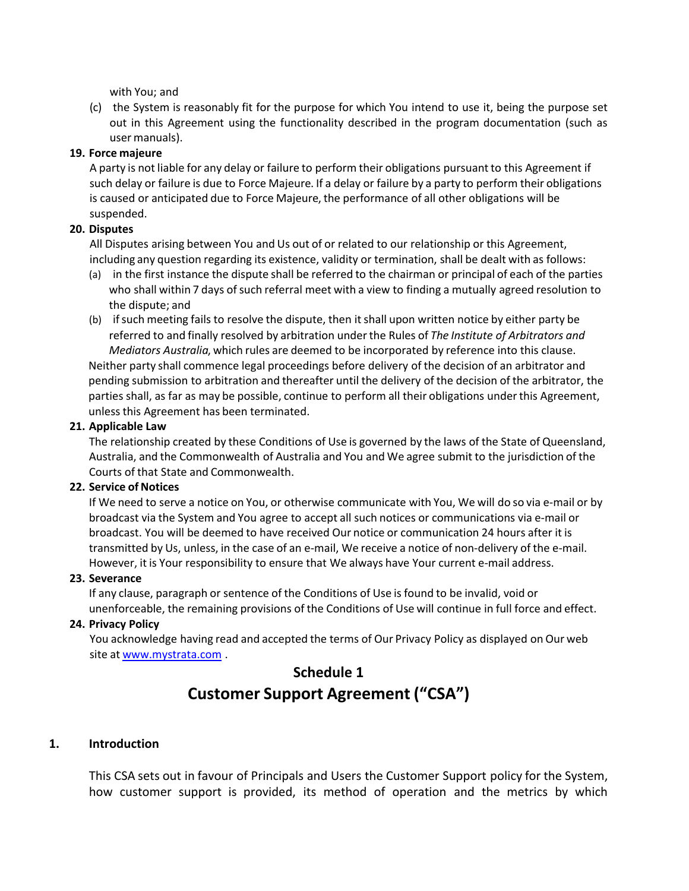with You; and

(c) the System is reasonably fit for the purpose for which You intend to use it, being the purpose set out in this Agreement using the functionality described in the program documentation (such as user manuals).

#### **19. Force majeure**

A party is not liable for any delay or failure to perform their obligations pursuant to this Agreement if such delay or failure is due to Force Majeure. If a delay or failure by a party to perform their obligations is caused or anticipated due to Force Majeure, the performance of all other obligations will be suspended.

#### **20. Disputes**

All Disputes arising between You and Us out of or related to our relationship or this Agreement, including any question regarding its existence, validity or termination, shall be dealt with as follows:

- (a) in the first instance the dispute shall be referred to the chairman or principal of each of the parties who shall within 7 days of such referral meet with a view to finding a mutually agreed resolution to the dispute; and
- (b) if such meeting fails to resolve the dispute, then it shall upon written notice by either party be referred to and finally resolved by arbitration under the Rules of *The Institute of Arbitrators and Mediators Australia*, which rules are deemed to be incorporated by reference into this clause. Neither party shall commence legal proceedings before delivery of the decision of an arbitrator and pending submission to arbitration and thereafter until the delivery of the decision of the arbitrator, the parties shall, as far as may be possible, continue to perform all their obligations under this Agreement, unless this Agreement has been terminated.

#### **21. Applicable Law**

The relationship created by these Conditions of Use is governed by the laws of the State of Queensland, Australia, and the Commonwealth of Australia and You and We agree submit to the jurisdiction of the Courts of that State and Commonwealth.

#### **22. Service of Notices**

If We need to serve a notice on You, or otherwise communicate with You, We will do so via e-mail or by broadcast via the System and You agree to accept all such notices or communications via e-mail or broadcast. You will be deemed to have received Our notice or communication 24 hours after it is transmitted by Us, unless, in the case of an e-mail, We receive a notice of non-delivery of the e-mail. However, it is Your responsibility to ensure that We always have Your current e-mail address.

#### **23. Severance**

If any clause, paragraph or sentence of the Conditions of Use is found to be invalid, void or unenforceable, the remaining provisions of the Conditions of Use will continue in full force and effect.

#### **24. Privacy Policy**

You acknowledge having read and accepted the terms of Our Privacy Policy as displayed on Our web site at www.mystrata.com .

# **Schedule 1 Customer Support Agreement ("CSA")**

#### **1. Introduction**

This CSA sets out in favour of Principals and Users the Customer Support policy for the System, how customer support is provided, its method of operation and the metrics by which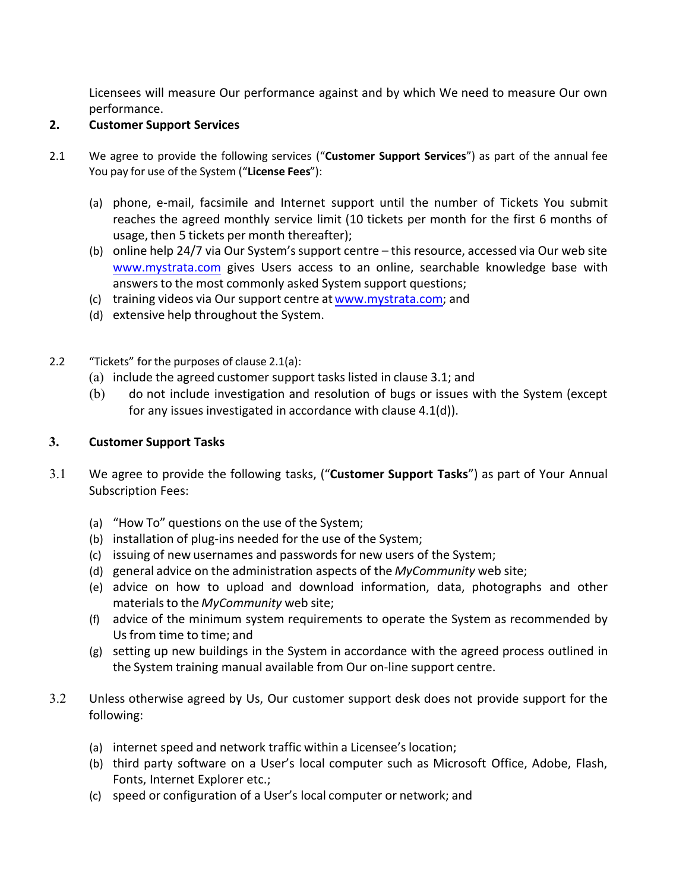Licensees will measure Our performance against and by which We need to measure Our own performance.

#### **2. Customer Support Services**

- 2.1 We agree to provide the following services ("Customer Support Services") as part of the annual fee You pay for use of the System ("License Fees"):
	- (a) phone, e-mail, facsimile and Internet support until the number of Tickets You submit reaches the agreed monthly service limit (10 tickets per month for the first 6 months of usage, then 5 tickets per month thereafter);
	- (b) online help 24/7 via Our System's support centre  $-$  this resource, accessed via Our web site www.mystrata.com gives Users access to an online, searchable knowledge base with answers to the most commonly asked System support questions;
	- (c) training videos via Our support centre at www.mystrata.com; and
	- (d) extensive help throughout the System.
- 2.2  $\frac{4}{10}$  "Tickets" for the purposes of clause 2.1(a):
	- (a) include the agreed customer support tasks listed in clause 3.1; and
	- (b) do not include investigation and resolution of bugs or issues with the System (except for any issues investigated in accordance with clause 4.1(d)).

#### **3. Customer Support Tasks**

- 3.1 We agree to provide the following tasks, ("Customer Support Tasks") as part of Your Annual Subscription Fees:
	- (a) "How To" questions on the use of the System;
	- (b) installation of plug-ins needed for the use of the System;
	- (c) issuing of new usernames and passwords for new users of the System;
	- (d) general advice on the administration aspects of the *MyCommunity* web site;
	- (e) advice on how to upload and download information, data, photographs and other materials to the *MyCommunity* web site;
	- (f) advice of the minimum system requirements to operate the System as recommended by Us from time to time; and
	- (g) setting up new buildings in the System in accordance with the agreed process outlined in the System training manual available from Our on-line support centre.
- 3.2 Unless otherwise agreed by Us, Our customer support desk does not provide support for the following:
	- (a) internet speed and network traffic within a Licensee's location;
	- (b) third party software on a User's local computer such as Microsoft Office, Adobe, Flash, Fonts, Internet Explorer etc.;
	- (c) speed or configuration of a User's local computer or network; and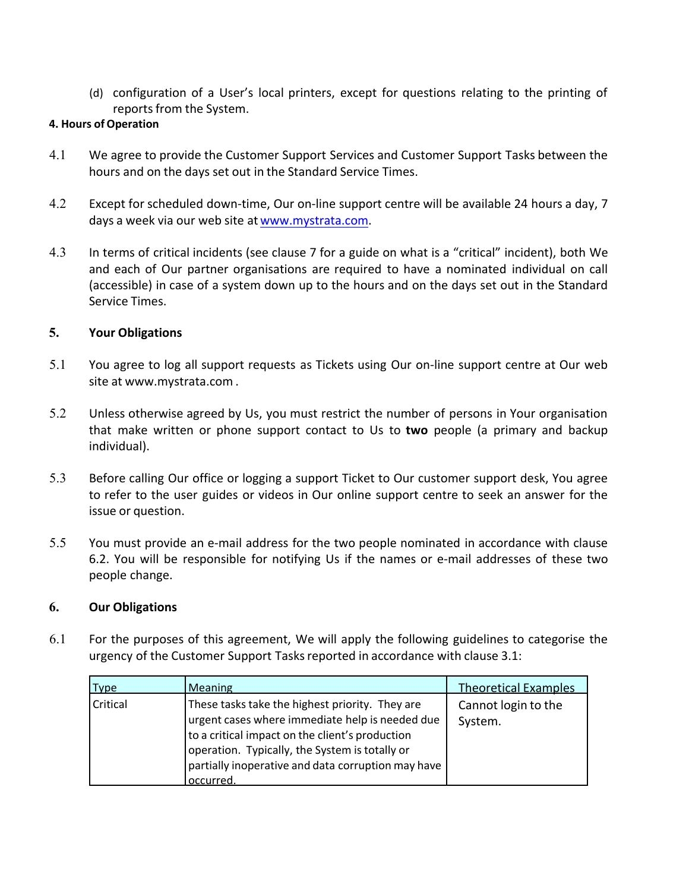(d) configuration of a User's local printers, except for questions relating to the printing of reports from the System.

#### **4. Hours of Operation**

- 4.1 We agree to provide the Customer Support Services and Customer Support Tasks between the hours and on the days set out in the Standard Service Times.
- 4.2 Except for scheduled down-time, Our on-line support centre will be available 24 hours a day, 7 days a week via our web site at www.mystrata.com.
- 4.3 In terms of critical incidents (see clause 7 for a guide on what is a "critical" incident), both We and each of Our partner organisations are required to have a nominated individual on call (accessible) in case of a system down up to the hours and on the days set out in the Standard Service Times.

## **5. Your Obligations**

- 5.1 You agree to log all support requests as Tickets using Our on-line support centre at Our web site at [www.mystrata.com](http://www.mystrata.com) .
- 5.2 Unless otherwise agreed by Us, you must restrict the number of persons in Your organisation that make written or phone support contact to Us to **two** people (a primary and backup individual).
- 5.3 Before calling Our office or logging a support Ticket to Our customer support desk, You agree to refer to the user guides or videos in Our online support centre to seek an answer for the issue or question.
- 5.5 You must provide an e-mail address for the two people nominated in accordance with clause 6.2. You will be responsible for notifying Us if the names or e-mail addresses of these two people change.

#### **6. Our Obligations**

6.1 For the purposes of this agreement, We will apply the following guidelines to categorise the urgency of the Customer Support Tasks reported in accordance with clause 3.1:

| <b>Type</b> | <b>Meaning</b>                                                                                                                                                                                                                                                            | <b>Theoretical Examples</b>    |
|-------------|---------------------------------------------------------------------------------------------------------------------------------------------------------------------------------------------------------------------------------------------------------------------------|--------------------------------|
| Critical    | These tasks take the highest priority. They are<br>urgent cases where immediate help is needed due<br>to a critical impact on the client's production<br>operation. Typically, the System is totally or<br>partially inoperative and data corruption may have<br>occurred | Cannot login to the<br>System. |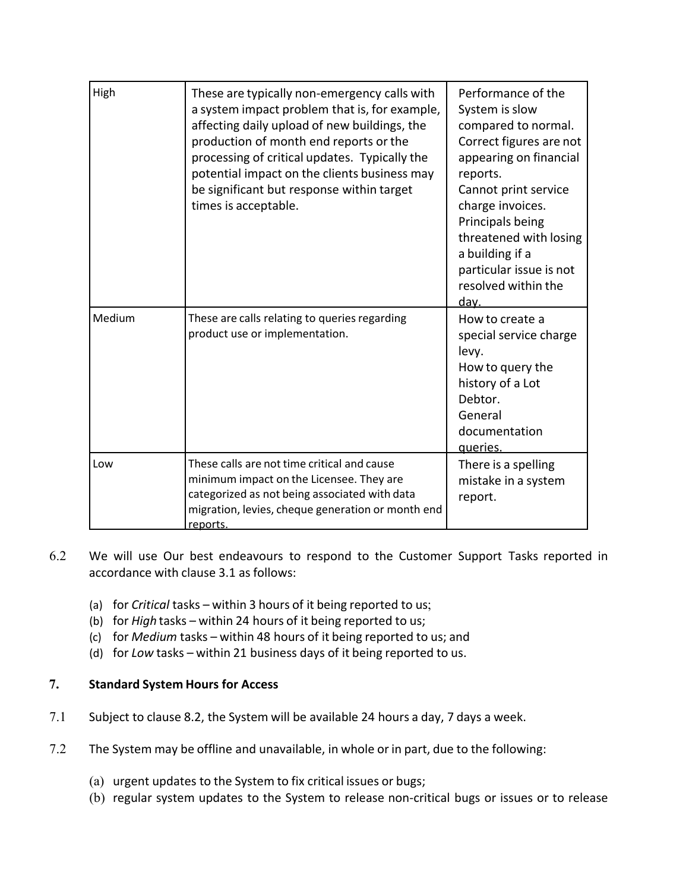| High   | These are typically non-emergency calls with<br>a system impact problem that is, for example,<br>affecting daily upload of new buildings, the<br>production of month end reports or the<br>processing of critical updates. Typically the<br>potential impact on the clients business may<br>be significant but response within target<br>times is acceptable. | Performance of the<br>System is slow<br>compared to normal.<br>Correct figures are not<br>appearing on financial<br>reports.<br>Cannot print service<br>charge invoices.<br>Principals being<br>threatened with losing<br>a building if a<br>particular issue is not<br>resolved within the<br><u>dav.</u> |
|--------|---------------------------------------------------------------------------------------------------------------------------------------------------------------------------------------------------------------------------------------------------------------------------------------------------------------------------------------------------------------|------------------------------------------------------------------------------------------------------------------------------------------------------------------------------------------------------------------------------------------------------------------------------------------------------------|
| Medium | These are calls relating to queries regarding<br>product use or implementation.                                                                                                                                                                                                                                                                               | How to create a<br>special service charge<br>levy.<br>How to query the<br>history of a Lot<br>Debtor.<br>General<br>documentation<br>queries.                                                                                                                                                              |
| Low    | These calls are not time critical and cause<br>minimum impact on the Licensee. They are<br>categorized as not being associated with data<br>migration, levies, cheque generation or month end<br>reports.                                                                                                                                                     | There is a spelling<br>mistake in a system<br>report.                                                                                                                                                                                                                                                      |

- 6.2 We will use Our best endeavours to respond to the Customer Support Tasks reported in accordance with clause 3.1 as follows:
	- (a) for *Critical* tasks within 3 hours of it being reported to us;
	- (b) for *High* tasks within 24 hours of it being reported to us;
	- (c) for *Medium* tasks within 48 hours of it being reported to us; and
	- (d) for *Low* tasks within 21 business days of it being reported to us.

## **7. Standard System Hours for Access**

- 7.1 Subject to clause 8.2, the System will be available 24 hours a day, 7 days a week.
- 7.2 The System may be offline and unavailable, in whole or in part, due to the following:
	- (a) urgent updates to the System to fix critical issues or bugs;
	- (b) regular system updates to the System to release non-critical bugs or issues or to release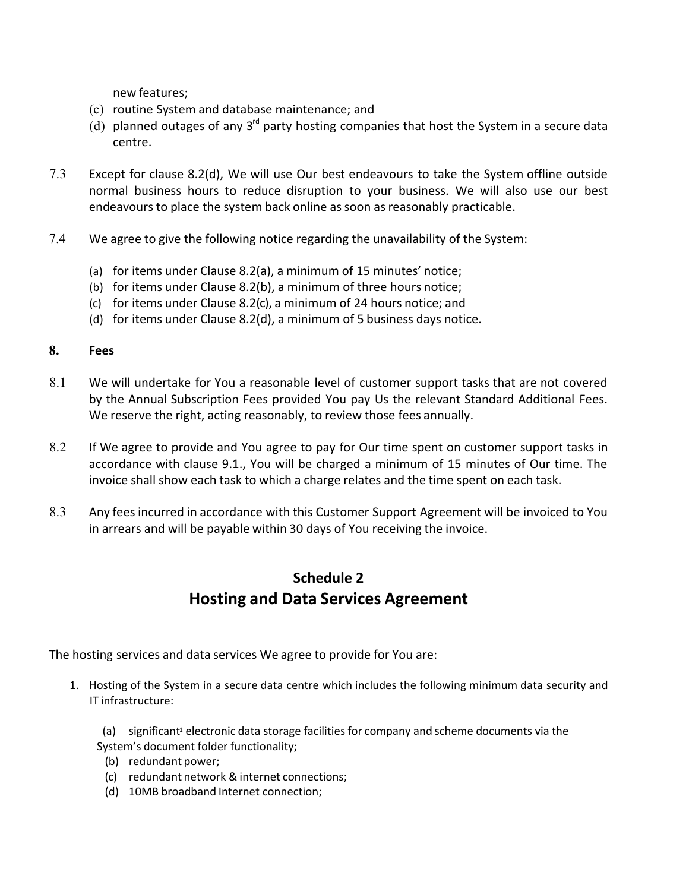new features;

- (c) routine System and database maintenance; and
- (d) planned outages of any  $3^{rd}$  party hosting companies that host the System in a secure data centre.
- 7.3 Except for clause 8.2(d), We will use Our best endeavours to take the System offline outside normal business hours to reduce disruption to your business. We will also use our best endeavours to place the system back online as soon as reasonably practicable.
- 7.4 We agree to give the following notice regarding the unavailability of the System:
	- (a) for items under Clause 8.2(a), a minimum of 15 minutes' notice;
	- (b) for items under Clause 8.2(b), a minimum of three hours notice;
	- (c) for items under Clause 8.2(c), a minimum of 24 hours notice; and
	- (d) for items under Clause 8.2(d), a minimum of 5 business days notice.

#### **8. Fees**

- 8.1 We will undertake for You a reasonable level of customer support tasks that are not covered by the Annual Subscription Fees provided You pay Us the relevant Standard Additional Fees. We reserve the right, acting reasonably, to review those fees annually.
- 8.2 If We agree to provide and You agree to pay for Our time spent on customer support tasks in accordance with clause 9.1., You will be charged a minimum of 15 minutes of Our time. The invoice shall show each task to which a charge relates and the time spent on each task.
- 8.3 Any fees incurred in accordance with this Customer Support Agreement will be invoiced to You in arrears and will be payable within 30 days of You receiving the invoice.

## **Schedule 2 Hosting and Data Services Agreement**

The hosting services and data services We agree to provide for You are:

1. Hosting of the System in a secure data centre which includes the following minimum data security and IT infrastructure:

(a) significant<sup>1</sup> electronic data storage facilities for company and scheme documents via the System's document folder functionality;

- (b) redundant power;
- (c) redundant network & internet connections;
- (d) 10MB broadband Internet connection;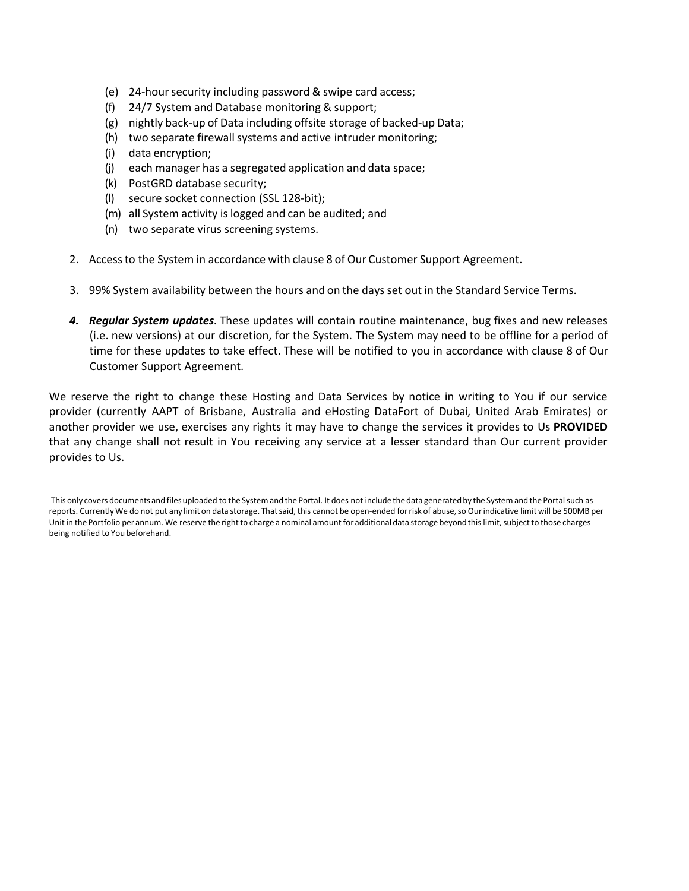- (e) 24-hour security including password & swipe card access;
- (f) 24/7 System and Database monitoring & support;
- (g) nightly back-up of Data including offsite storage of backed-up Data;
- (h) two separate firewall systems and active intruder monitoring;
- (i) data encryption;
- (j) each manager has a segregated application and data space;
- (k) PostGRD database security;
- (l) secure socket connection (SSL 128-bit);
- (m) all System activity is logged and can be audited; and
- (n) two separate virus screening systems.
- 2. Access to the System in accordance with clause 8 of Our Customer Support Agreement.
- 3. 99% System availability between the hours and on the days set out in the Standard Service Terms.
- *4. Regular System updates*. These updates will contain routine maintenance, bug fixes and new releases (i.e. new versions) at our discretion, for the System. The System may need to be offline for a period of time for these updates to take effect. These will be notified to you in accordance with clause 8 of Our Customer Support Agreement.

We reserve the right to change these Hosting and Data Services by notice in writing to You if our service provider (currently AAPT of Brisbane, Australia and eHosting DataFort of Dubai, United Arab Emirates) or another provider we use, exercises any rights it may have to change the services it provides to Us **PROVIDED** that any change shall not result in You receiving any service at a lesser standard than Our current provider provides to Us.

This only covers documents and files uploaded to the System and the Portal. It does not include the data generated by the System and the Portal such as reports. Currently We do not put any limit on data storage. That said, this cannot be open-ended for risk of abuse, so Our indicative limit will be 500MB per Unit in the Portfolio per annum. We reserve the right to charge a nominal amount for additional data storage beyond this limit, subject to those charges being notified to You beforehand.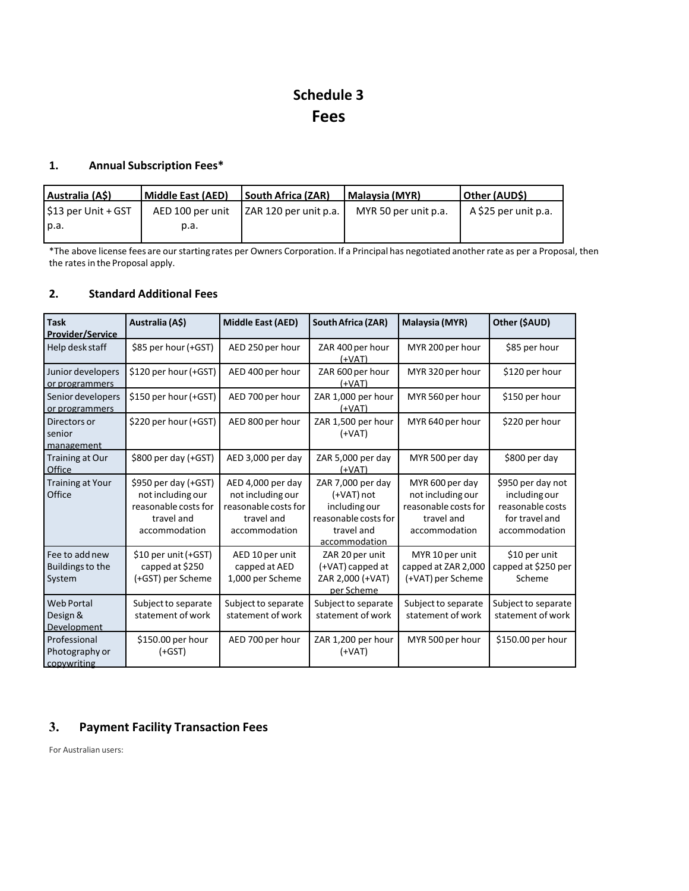# **Schedule 3 Fees**

## **1. Annual Subscription Fees\***

| <b>South Africa (ZAR)</b><br>  Other (AUD\$)<br>  Malavsia (MYR)       | l Middle East (AED) | Australia (A\$)                   |
|------------------------------------------------------------------------|---------------------|-----------------------------------|
| A \$25 per unit p.a.<br>LZAR 120 per unit p.a.<br>MYR 50 per unit p.a. | AED 100 per unit    | $\frac{1}{2}$ \$13 per Unit + GST |
|                                                                        | p.a.                | I p.a.                            |
|                                                                        |                     |                                   |

\*The above license fees are our starting rates per Owners Corporation. If a Principal has negotiated another rate as per a Proposal, then the rates in the Proposal apply.

#### **2. Standard Additional Fees**

| <b>Task</b><br>Provider/Service               | Australia (A\$)                                                                                  | <b>Middle East (AED)</b>                                                                      | <b>South Africa (ZAR)</b>                                                                               | Malaysia (MYR)                                                                              | Other (\$AUD)                                                                             |
|-----------------------------------------------|--------------------------------------------------------------------------------------------------|-----------------------------------------------------------------------------------------------|---------------------------------------------------------------------------------------------------------|---------------------------------------------------------------------------------------------|-------------------------------------------------------------------------------------------|
| Help desk staff                               | \$85 per hour (+GST)                                                                             | AED 250 per hour                                                                              | ZAR 400 per hour<br>$(+VAT)$                                                                            | MYR 200 per hour                                                                            | \$85 per hour                                                                             |
| Junior developers<br>or programmers           | \$120 per hour (+GST)                                                                            | AED 400 per hour                                                                              | ZAR 600 per hour<br>$(+VAT)$                                                                            | MYR 320 per hour                                                                            | \$120 per hour                                                                            |
| Senior developers<br>or programmers           | \$150 per hour (+GST)                                                                            | AED 700 per hour                                                                              | ZAR 1,000 per hour<br>(+VAT)                                                                            | MYR 560 per hour                                                                            | \$150 per hour                                                                            |
| Directors or<br>senior<br>management          | \$220 per hour (+GST)                                                                            | AED 800 per hour                                                                              | ZAR 1,500 per hour<br>$(+VAT)$                                                                          | MYR 640 per hour                                                                            | \$220 per hour                                                                            |
| Training at Our<br>Office                     | \$800 per day (+GST)                                                                             | AED 3,000 per day                                                                             | ZAR 5,000 per day<br>$(+VAT)$                                                                           | MYR 500 per day                                                                             | \$800 per day                                                                             |
| <b>Training at Your</b><br>Office             | \$950 per day (+GST)<br>not including our<br>reasonable costs for<br>travel and<br>accommodation | AED 4,000 per day<br>not including our<br>reasonable costs for<br>travel and<br>accommodation | ZAR 7,000 per day<br>(+VAT) not<br>including our<br>reasonable costs for<br>travel and<br>accommodation | MYR 600 per day<br>not including our<br>reasonable costs for<br>travel and<br>accommodation | \$950 per day not<br>including our<br>reasonable costs<br>for travel and<br>accommodation |
| Fee to add new<br>Buildings to the<br>System  | \$10 per unit (+GST)<br>capped at \$250<br>(+GST) per Scheme                                     | AED 10 per unit<br>capped at AED<br>1,000 per Scheme                                          | ZAR 20 per unit<br>(+VAT) capped at<br>ZAR 2,000 (+VAT)<br>per Scheme                                   | MYR 10 per unit<br>capped at ZAR 2,000<br>(+VAT) per Scheme                                 | \$10 per unit<br>capped at \$250 per<br>Scheme                                            |
| <b>Web Portal</b><br>Design &<br>Development  | Subject to separate<br>statement of work                                                         | Subject to separate<br>statement of work                                                      | Subject to separate<br>statement of work                                                                | Subject to separate<br>statement of work                                                    | Subject to separate<br>statement of work                                                  |
| Professional<br>Photography or<br>copywriting | \$150.00 per hour<br>$(+GST)$                                                                    | AED 700 per hour                                                                              | ZAR 1,200 per hour<br>$(+VAT)$                                                                          | MYR 500 per hour                                                                            | \$150.00 per hour                                                                         |

## **3. Payment Facility Transaction Fees**

For Australian users: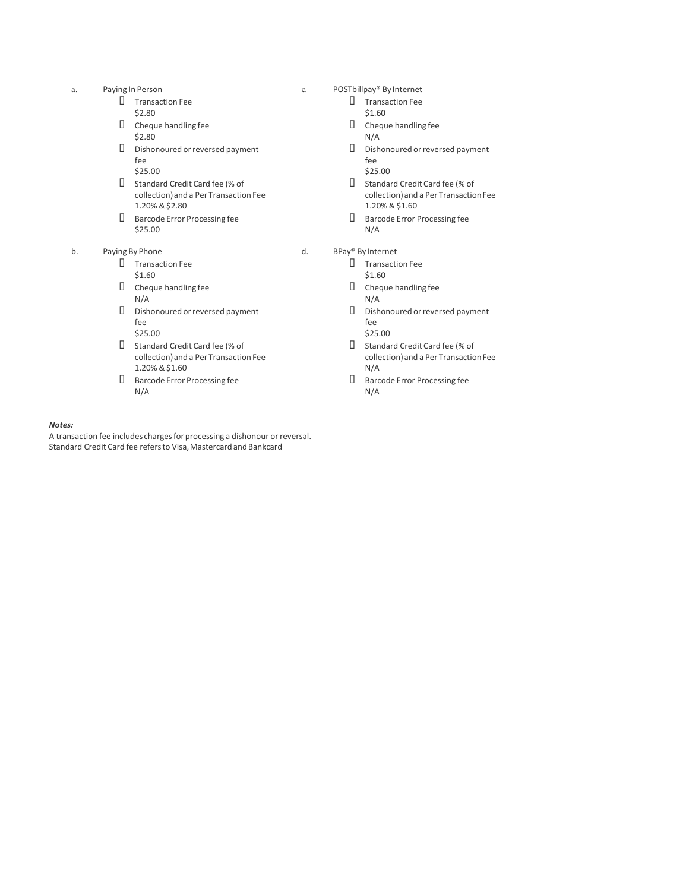- a. Paying In Person
	- § Transaction Fee
	- \$2.80
	- $\square$  Cheque handling fee \$2.80
	- § Dishonoured or reversed payment fee
		- \$25.00
	- § Standard Credit Card fee (% of collection) and a Per Transaction Fee 1.20% & \$2.80
	- § Barcode Error Processing fee \$25.00
- b. Paying By Phone
	- § Transaction Fee \$1.60
	- $\square$  Cheque handling fee N/A
	- § Dishonoured or reversed payment fee
	- \$25.00
	- § Standard Credit Card fee (% of collection) and a Per Transaction Fee 1.20% & \$1.60
	- § Barcode Error Processing fee N/A

#### *Notes:*

A transaction fee includes charges for processing a dishonour or reversal. Standard Credit Card fee refers to Visa, Mastercard and Bankcard

- c. POSTbillpay® By Internet
	- § Transaction Fee \$1.60
	- $\square$  Cheque handling fee N/A
	- § Dishonoured or reversed payment fee
	- \$25.00
	- § Standard Credit Card fee (% of collection) and a Per Transaction Fee 1.20% & \$1.60
	- § Barcode Error Processing fee N/A

#### d. BPay® By Internet

- § Transaction Fee \$1.60
- $\square$  Cheque handling fee N/A
- § Dishonoured or reversed payment fee \$25.00
- § Standard Credit Card fee (% of collection) and a Per Transaction Fee N/A
- § Barcode Error Processing fee N/A